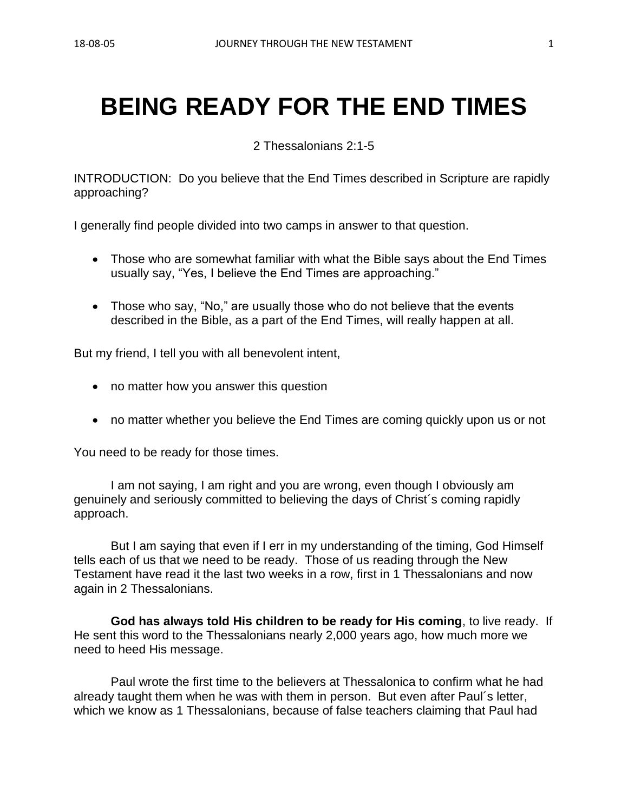# **BEING READY FOR THE END TIMES**

2 Thessalonians 2:1-5

INTRODUCTION: Do you believe that the End Times described in Scripture are rapidly approaching?

I generally find people divided into two camps in answer to that question.

- Those who are somewhat familiar with what the Bible says about the End Times usually say, "Yes, I believe the End Times are approaching."
- Those who say, "No," are usually those who do not believe that the events described in the Bible, as a part of the End Times, will really happen at all.

But my friend, I tell you with all benevolent intent,

- no matter how you answer this question
- no matter whether you believe the End Times are coming quickly upon us or not

You need to be ready for those times.

I am not saying, I am right and you are wrong, even though I obviously am genuinely and seriously committed to believing the days of Christ´s coming rapidly approach.

But I am saying that even if I err in my understanding of the timing, God Himself tells each of us that we need to be ready. Those of us reading through the New Testament have read it the last two weeks in a row, first in 1 Thessalonians and now again in 2 Thessalonians.

**God has always told His children to be ready for His coming**, to live ready. If He sent this word to the Thessalonians nearly 2,000 years ago, how much more we need to heed His message.

Paul wrote the first time to the believers at Thessalonica to confirm what he had already taught them when he was with them in person. But even after Paul´s letter, which we know as 1 Thessalonians, because of false teachers claiming that Paul had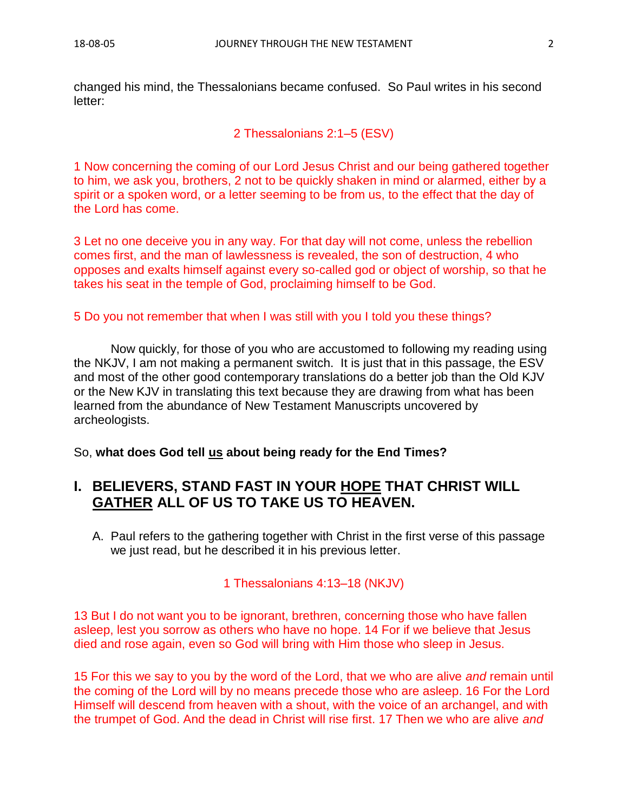changed his mind, the Thessalonians became confused. So Paul writes in his second letter:

2 Thessalonians 2:1–5 (ESV)

1 Now concerning the coming of our Lord Jesus Christ and our being gathered together to him, we ask you, brothers, 2 not to be quickly shaken in mind or alarmed, either by a spirit or a spoken word, or a letter seeming to be from us, to the effect that the day of the Lord has come.

3 Let no one deceive you in any way. For that day will not come, unless the rebellion comes first, and the man of lawlessness is revealed, the son of destruction, 4 who opposes and exalts himself against every so-called god or object of worship, so that he takes his seat in the temple of God, proclaiming himself to be God.

5 Do you not remember that when I was still with you I told you these things?

Now quickly, for those of you who are accustomed to following my reading using the NKJV, I am not making a permanent switch. It is just that in this passage, the ESV and most of the other good contemporary translations do a better job than the Old KJV or the New KJV in translating this text because they are drawing from what has been learned from the abundance of New Testament Manuscripts uncovered by archeologists.

So, **what does God tell us about being ready for the End Times?**

## **I. BELIEVERS, STAND FAST IN YOUR HOPE THAT CHRIST WILL GATHER ALL OF US TO TAKE US TO HEAVEN.**

A. Paul refers to the gathering together with Christ in the first verse of this passage we just read, but he described it in his previous letter.

1 Thessalonians 4:13–18 (NKJV)

13 But I do not want you to be ignorant, brethren, concerning those who have fallen asleep, lest you sorrow as others who have no hope. 14 For if we believe that Jesus died and rose again, even so God will bring with Him those who sleep in Jesus.

15 For this we say to you by the word of the Lord, that we who are alive *and* remain until the coming of the Lord will by no means precede those who are asleep. 16 For the Lord Himself will descend from heaven with a shout, with the voice of an archangel, and with the trumpet of God. And the dead in Christ will rise first. 17 Then we who are alive *and*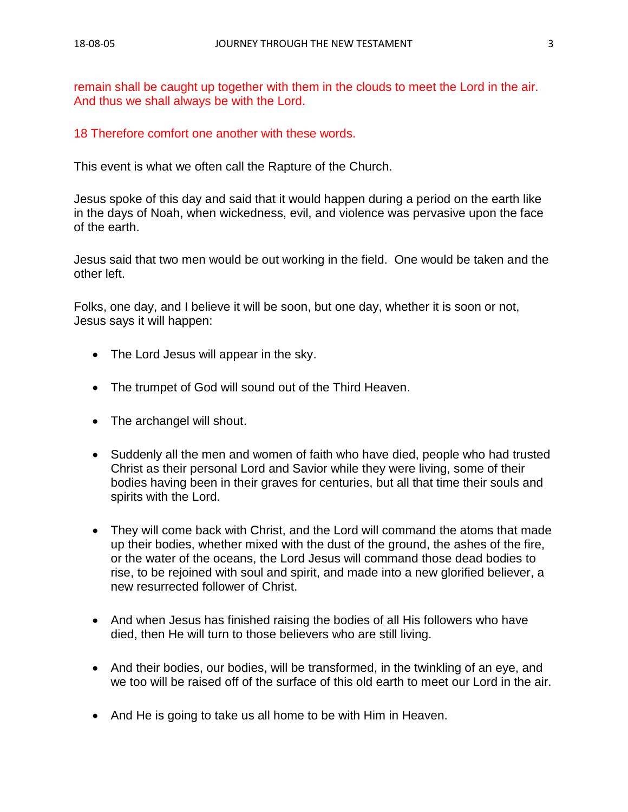remain shall be caught up together with them in the clouds to meet the Lord in the air. And thus we shall always be with the Lord.

#### 18 Therefore comfort one another with these words.

This event is what we often call the Rapture of the Church.

Jesus spoke of this day and said that it would happen during a period on the earth like in the days of Noah, when wickedness, evil, and violence was pervasive upon the face of the earth.

Jesus said that two men would be out working in the field. One would be taken and the other left.

Folks, one day, and I believe it will be soon, but one day, whether it is soon or not, Jesus says it will happen:

- The Lord Jesus will appear in the sky.
- The trumpet of God will sound out of the Third Heaven.
- The archangel will shout.
- Suddenly all the men and women of faith who have died, people who had trusted Christ as their personal Lord and Savior while they were living, some of their bodies having been in their graves for centuries, but all that time their souls and spirits with the Lord.
- They will come back with Christ, and the Lord will command the atoms that made up their bodies, whether mixed with the dust of the ground, the ashes of the fire, or the water of the oceans, the Lord Jesus will command those dead bodies to rise, to be rejoined with soul and spirit, and made into a new glorified believer, a new resurrected follower of Christ.
- And when Jesus has finished raising the bodies of all His followers who have died, then He will turn to those believers who are still living.
- And their bodies, our bodies, will be transformed, in the twinkling of an eye, and we too will be raised off of the surface of this old earth to meet our Lord in the air.
- And He is going to take us all home to be with Him in Heaven.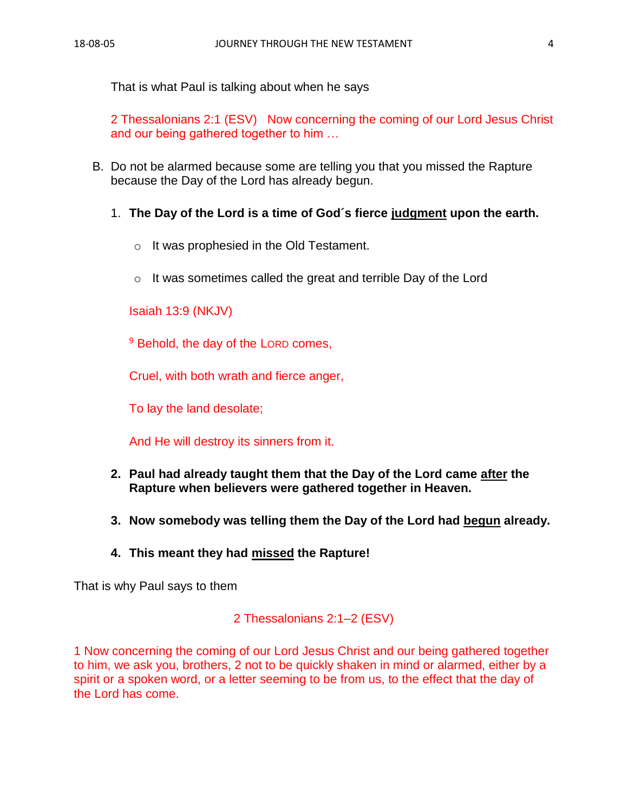That is what Paul is talking about when he says

2 Thessalonians 2:1 (ESV) Now concerning the coming of our Lord Jesus Christ and our being gathered together to him …

- B. Do not be alarmed because some are telling you that you missed the Rapture because the Day of the Lord has already begun.
	- 1. **The Day of the Lord is a time of God´s fierce judgment upon the earth.**
		- o It was prophesied in the Old Testament.
		- o It was sometimes called the great and terrible Day of the Lord

Isaiah 13:9 (NKJV)

<sup>9</sup> Behold, the day of the LORD comes,

Cruel, with both wrath and fierce anger,

To lay the land desolate;

And He will destroy its sinners from it.

- **2. Paul had already taught them that the Day of the Lord came after the Rapture when believers were gathered together in Heaven.**
- **3. Now somebody was telling them the Day of the Lord had begun already.**
- **4. This meant they had missed the Rapture!**

That is why Paul says to them

2 Thessalonians 2:1–2 (ESV)

1 Now concerning the coming of our Lord Jesus Christ and our being gathered together to him, we ask you, brothers, 2 not to be quickly shaken in mind or alarmed, either by a spirit or a spoken word, or a letter seeming to be from us, to the effect that the day of the Lord has come.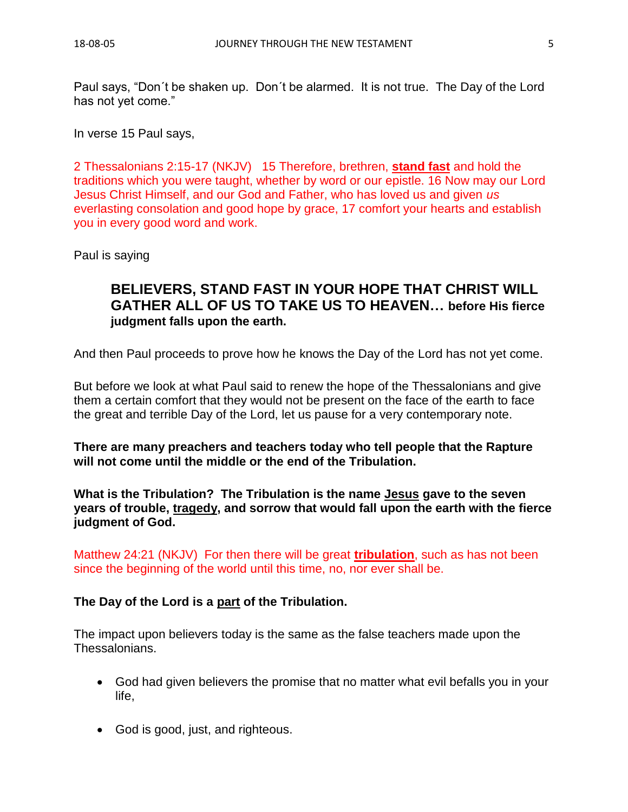Paul says, "Don´t be shaken up. Don´t be alarmed. It is not true. The Day of the Lord has not yet come."

In verse 15 Paul says,

2 Thessalonians 2:15-17 (NKJV) 15 Therefore, brethren, **stand fast** and hold the traditions which you were taught, whether by word or our epistle. 16 Now may our Lord Jesus Christ Himself, and our God and Father, who has loved us and given *us* everlasting consolation and good hope by grace, 17 comfort your hearts and establish you in every good word and work.

Paul is saying

## **BELIEVERS, STAND FAST IN YOUR HOPE THAT CHRIST WILL GATHER ALL OF US TO TAKE US TO HEAVEN… before His fierce judgment falls upon the earth.**

And then Paul proceeds to prove how he knows the Day of the Lord has not yet come.

But before we look at what Paul said to renew the hope of the Thessalonians and give them a certain comfort that they would not be present on the face of the earth to face the great and terrible Day of the Lord, let us pause for a very contemporary note.

**There are many preachers and teachers today who tell people that the Rapture will not come until the middle or the end of the Tribulation.**

**What is the Tribulation? The Tribulation is the name Jesus gave to the seven years of trouble, tragedy, and sorrow that would fall upon the earth with the fierce judgment of God.**

Matthew 24:21 (NKJV) For then there will be great **tribulation**, such as has not been since the beginning of the world until this time, no, nor ever shall be.

#### **The Day of the Lord is a part of the Tribulation.**

The impact upon believers today is the same as the false teachers made upon the Thessalonians.

- God had given believers the promise that no matter what evil befalls you in your life,
- God is good, just, and righteous.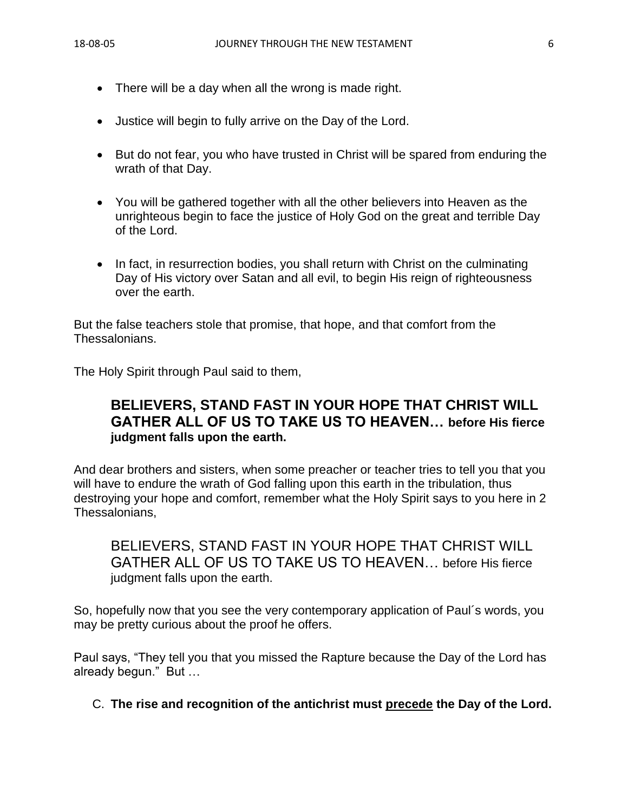- There will be a day when all the wrong is made right.
- Justice will begin to fully arrive on the Day of the Lord.
- But do not fear, you who have trusted in Christ will be spared from enduring the wrath of that Day.
- You will be gathered together with all the other believers into Heaven as the unrighteous begin to face the justice of Holy God on the great and terrible Day of the Lord.
- In fact, in resurrection bodies, you shall return with Christ on the culminating Day of His victory over Satan and all evil, to begin His reign of righteousness over the earth.

But the false teachers stole that promise, that hope, and that comfort from the Thessalonians.

The Holy Spirit through Paul said to them,

## **BELIEVERS, STAND FAST IN YOUR HOPE THAT CHRIST WILL GATHER ALL OF US TO TAKE US TO HEAVEN… before His fierce judgment falls upon the earth.**

And dear brothers and sisters, when some preacher or teacher tries to tell you that you will have to endure the wrath of God falling upon this earth in the tribulation, thus destroying your hope and comfort, remember what the Holy Spirit says to you here in 2 Thessalonians,

BELIEVERS, STAND FAST IN YOUR HOPE THAT CHRIST WILL GATHER ALL OF US TO TAKE US TO HEAVEN… before His fierce judgment falls upon the earth.

So, hopefully now that you see the very contemporary application of Paul´s words, you may be pretty curious about the proof he offers.

Paul says, "They tell you that you missed the Rapture because the Day of the Lord has already begun." But …

C. **The rise and recognition of the antichrist must precede the Day of the Lord.**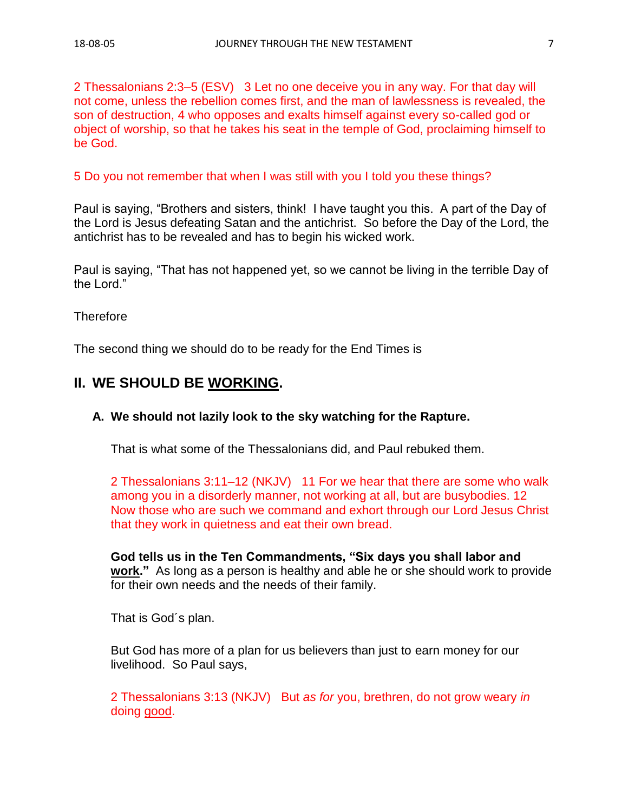2 Thessalonians 2:3–5 (ESV) 3 Let no one deceive you in any way. For that day will not come, unless the rebellion comes first, and the man of lawlessness is revealed, the son of destruction, 4 who opposes and exalts himself against every so-called god or object of worship, so that he takes his seat in the temple of God, proclaiming himself to be God.

5 Do you not remember that when I was still with you I told you these things?

Paul is saying, "Brothers and sisters, think! I have taught you this. A part of the Day of the Lord is Jesus defeating Satan and the antichrist. So before the Day of the Lord, the antichrist has to be revealed and has to begin his wicked work.

Paul is saying, "That has not happened yet, so we cannot be living in the terrible Day of the Lord."

**Therefore** 

The second thing we should do to be ready for the End Times is

## **II. WE SHOULD BE WORKING.**

#### **A. We should not lazily look to the sky watching for the Rapture.**

That is what some of the Thessalonians did, and Paul rebuked them.

2 Thessalonians 3:11–12 (NKJV) 11 For we hear that there are some who walk among you in a disorderly manner, not working at all, but are busybodies. 12 Now those who are such we command and exhort through our Lord Jesus Christ that they work in quietness and eat their own bread.

**God tells us in the Ten Commandments, "Six days you shall labor and work."** As long as a person is healthy and able he or she should work to provide for their own needs and the needs of their family.

That is God´s plan.

But God has more of a plan for us believers than just to earn money for our livelihood. So Paul says,

2 Thessalonians 3:13 (NKJV) But *as for* you, brethren, do not grow weary *in* doing good.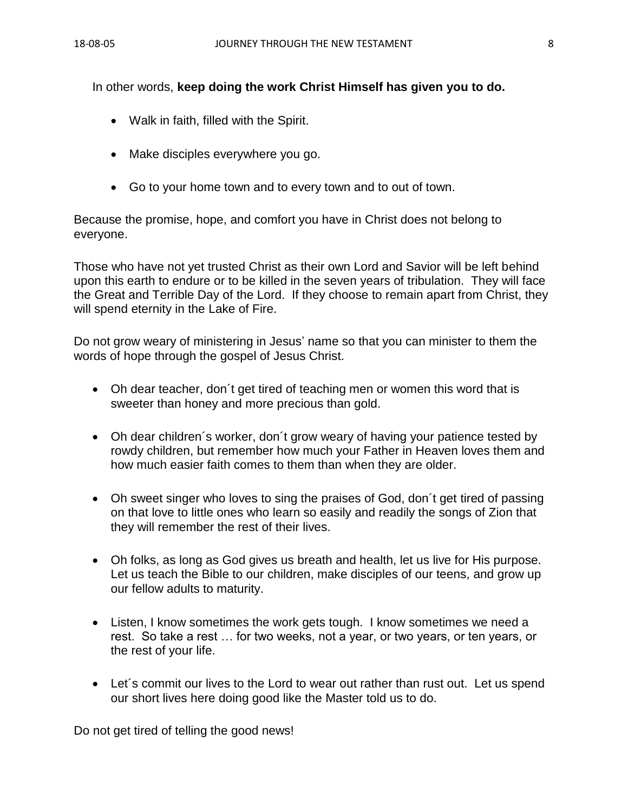In other words, **keep doing the work Christ Himself has given you to do.**

- Walk in faith, filled with the Spirit.
- Make disciples everywhere you go.
- Go to your home town and to every town and to out of town.

Because the promise, hope, and comfort you have in Christ does not belong to everyone.

Those who have not yet trusted Christ as their own Lord and Savior will be left behind upon this earth to endure or to be killed in the seven years of tribulation. They will face the Great and Terrible Day of the Lord. If they choose to remain apart from Christ, they will spend eternity in the Lake of Fire.

Do not grow weary of ministering in Jesus' name so that you can minister to them the words of hope through the gospel of Jesus Christ.

- Oh dear teacher, don´t get tired of teaching men or women this word that is sweeter than honey and more precious than gold.
- Oh dear children's worker, don't grow weary of having your patience tested by rowdy children, but remember how much your Father in Heaven loves them and how much easier faith comes to them than when they are older.
- Oh sweet singer who loves to sing the praises of God, don't get tired of passing on that love to little ones who learn so easily and readily the songs of Zion that they will remember the rest of their lives.
- Oh folks, as long as God gives us breath and health, let us live for His purpose. Let us teach the Bible to our children, make disciples of our teens, and grow up our fellow adults to maturity.
- Listen, I know sometimes the work gets tough. I know sometimes we need a rest. So take a rest … for two weeks, not a year, or two years, or ten years, or the rest of your life.
- Let's commit our lives to the Lord to wear out rather than rust out. Let us spend our short lives here doing good like the Master told us to do.

Do not get tired of telling the good news!